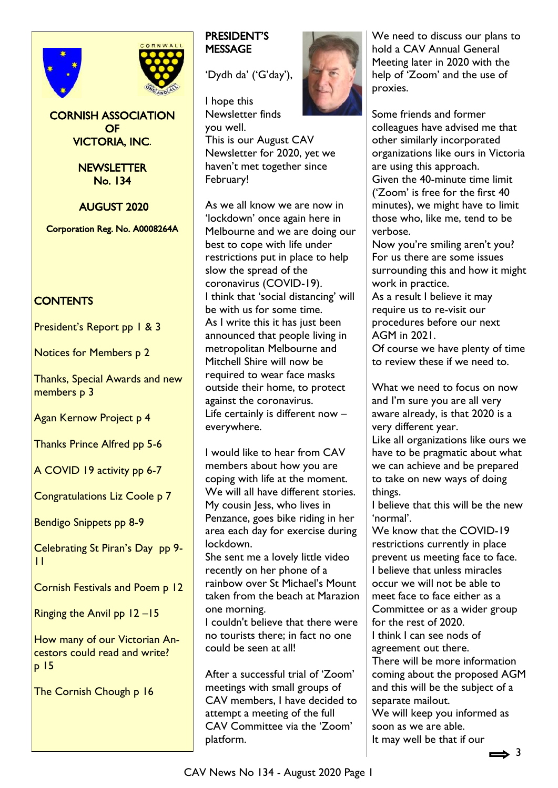



## CORNISH ASSOCIATION OF VICTORIA, INC.

NEWSLETTER No. 134

AUGUST 2020

Corporation Reg. No. A0008264A

# **CONTENTS**

President's Report pp 1 & 3

Notices for Members p 2

Thanks, Special Awards and new members **p** 3

Agan Kernow Project p 4

Thanks Prince Alfred pp 5-6

A COVID 19 activity pp 6-7

Congratulations Liz Coole p 7

Bendigo Snippets pp 8-9

Celebrating St Piran's Day pp 9- 11

Cornish Festivals and Poem p 12

Ringing the Anvil pp 12 –15

How many of our Victorian Ancestors could read and write? p 15

The Cornish Chough p 16

## PRESIDENT'S **MESSAGE**

'Dydh da' ('G'day'),

I hope this Newsletter finds you well. This is our August CAV

Newsletter for 2020, yet we haven't met together since February!

As we all know we are now in 'lockdown' once again here in Melbourne and we are doing our best to cope with life under restrictions put in place to help slow the spread of the coronavirus (COVID-19). I think that 'social distancing' will be with us for some time. As I write this it has just been announced that people living in metropolitan Melbourne and Mitchell Shire will now be required to wear face masks outside their home, to protect against the coronavirus. Life certainly is different now – everywhere.

I would like to hear from CAV members about how you are coping with life at the moment. We will all have different stories. My cousin Jess, who lives in Penzance, goes bike riding in her area each day for exercise during lockdown.

She sent me a lovely little video recently on her phone of a rainbow over St Michael's Mount taken from the beach at Marazion one morning.

I couldn't believe that there were no tourists there; in fact no one could be seen at all!

After a successful trial of 'Zoom' meetings with small groups of CAV members, I have decided to attempt a meeting of the full CAV Committee via the 'Zoom' platform.



We need to discuss our plans to hold a CAV Annual General Meeting later in 2020 with the help of 'Zoom' and the use of proxies.

Some friends and former colleagues have advised me that other similarly incorporated organizations like ours in Victoria are using this approach. Given the 40-minute time limit ('Zoom' is free for the first 40 minutes), we might have to limit those who, like me, tend to be verbose.

Now you're smiling aren't you? For us there are some issues surrounding this and how it might work in practice.

As a result I believe it may require us to re-visit our procedures before our next AGM in 2021.

Of course we have plenty of time to review these if we need to.

What we need to focus on now and I'm sure you are all very aware already, is that 2020 is a very different year.

Like all organizations like ours we have to be pragmatic about what we can achieve and be prepared to take on new ways of doing things.

I believe that this will be the new 'normal'.

We know that the COVID-19 restrictions currently in place prevent us meeting face to face. I believe that unless miracles occur we will not be able to meet face to face either as a Committee or as a wider group for the rest of 2020. I think I can see nods of agreement out there.

There will be more information coming about the proposed AGM and this will be the subject of a separate mailout.

We will keep you informed as soon as we are able. It may well be that if our

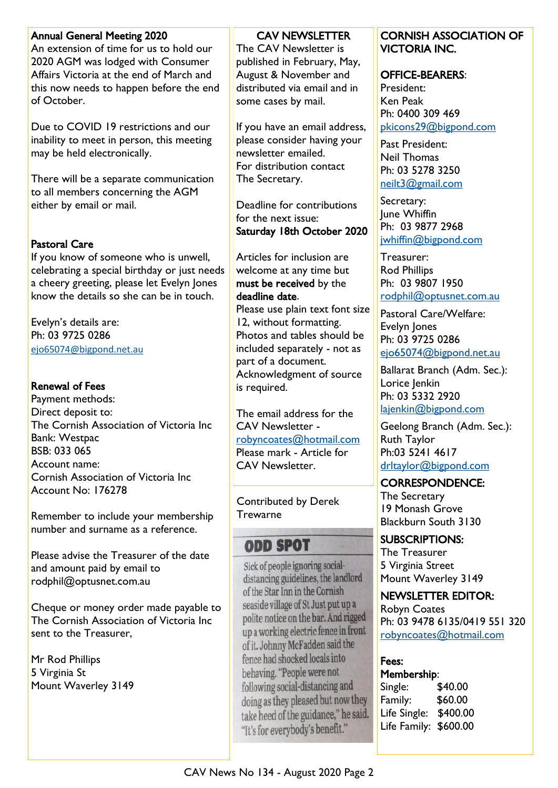### Annual General Meeting 2020

An extension of time for us to hold our 2020 AGM was lodged with Consumer Affairs Victoria at the end of March and this now needs to happen before the end of October.

Due to COVID 19 restrictions and our inability to meet in person, this meeting may be held electronically.

There will be a separate communication to all members concerning the AGM either by email or mail.

# Pastoral Care

If you know of someone who is unwell, celebrating a special birthday or just needs a cheery greeting, please let Evelyn Jones know the details so she can be in touch.

Evelyn's details are: Ph: 03 9725 0286 [ejo65074@bigpond.net.au](mailto:ejo65074@bigpond.net.au)

### Renewal of Fees

Payment methods: Direct deposit to: The Cornish Association of Victoria Inc Bank: Westpac BSB: 033 065 Account name: Cornish Association of Victoria Inc Account No: 176278

Remember to include your membership number and surname as a reference.

Please advise the Treasurer of the date and amount paid by email to rodphil@optusnet.com.au

Cheque or money order made payable to The Cornish Association of Victoria Inc sent to the Treasurer,

Mr Rod Phillips 5 Virginia St Mount Waverley 3149

### CAV NEWSLETTER

The CAV Newsletter is published in February, May, August & November and distributed via email and in some cases by mail.

If you have an email address, please consider having your newsletter emailed. For distribution contact The Secretary.

Deadline for contributions for the next issue: Saturday 18th October 2020

Articles for inclusion are welcome at any time but must be received by the deadline date.

Please use plain text font size 12, without formatting. Photos and tables should be included separately - not as part of a document. Acknowledgment of source is required.

The email address for the CAV Newsletter [robyncoates@hotmail.com](mailto:robyncoates@hotmail.com) Please mark - Article for CAV Newsletter.

Contributed by Derek **Trewarne** 

# **ODD SPOT**

Sick of people ignoring socialdistancing guidelines, the landlord of the Star Inn in the Cornish seaside village of St Just put up a polite notice on the bar. And rigged up a working electric fence in front of it. Johnny McFadden said the fence had shocked locals into behaving. "People were not following social-distancing and doing as they pleased but now they take heed of the guidance," he said. "It's for everybody's benefit."

### CORNISH ASSOCIATION OF VICTORIA INC.

### OFFICE-BEARERS:

President: Ken Peak Ph: 0400 309 469 [pkicons29@bigpond.com](mailto:pkicons29@bigpond.com)

Past President: Neil Thomas Ph: 03 5278 3250 [neilt3@gmail.com](mailto:neilt3@gmail.com)

Secretary: **Iune Whiffin** Ph: 03 9877 2968 [jwhiffin@bigpond.com](mailto:jwhiffin@bigpond.com)

Treasurer: Rod Phillips Ph: 03 9807 1950 [rodphil@optusnet.com.au](mailto:rodphil@optusnet.com.au)

Pastoral Care/Welfare: Evelyn Jones Ph: 03 9725 0286 [ejo65074@bigpond.net.au](mailto:ejo65074@bigpond.net.au)

Ballarat Branch (Adm. Sec.): Lorice Jenkin Ph: 03 5332 2920 [lajenkin@bigpond.com](mailto:lajenkin@bigpond.com)

Geelong Branch (Adm. Sec.): Ruth Taylor Ph:03 5241 4617 [drltaylor@bigpond.com](mailto:drltaylor@bigpond.com)

### CORRESPONDENCE:

The Secretary 19 Monash Grove Blackburn South 3130

SUBSCRIPTIONS:

The Treasurer 5 Virginia Street Mount Waverley 3149

# NEWSLETTER EDITOR:

Robyn Coates Ph: 03 9478 6135/0419 551 320 [robyncoates@hotmail.com](mailto:robyncoates@hotmail.com)

# Fees:

Membership: Single: \$40.00 Family: \$60.00 Life Single: \$400.00 Life Family: \$600.00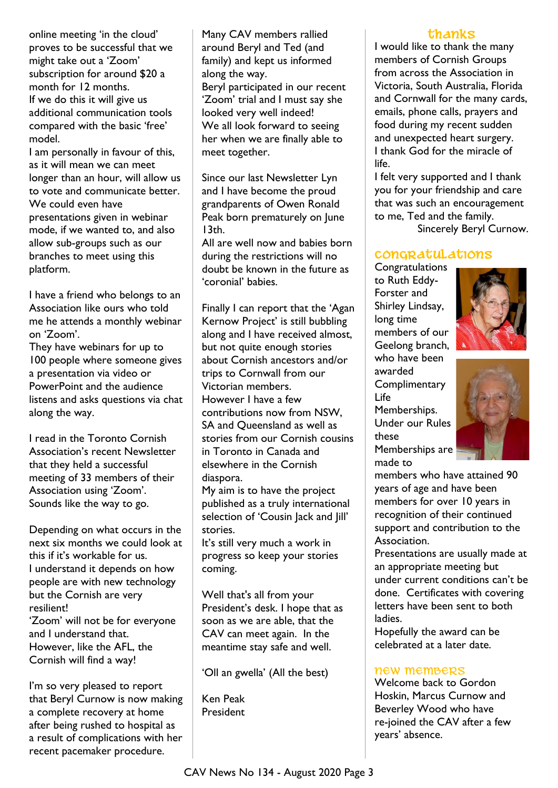online meeting 'in the cloud' proves to be successful that we might take out a 'Zoom' subscription for around \$20 a month for 12 months. If we do this it will give us additional communication tools compared with the basic 'free' model.

I am personally in favour of this, as it will mean we can meet longer than an hour, will allow us to vote and communicate better. We could even have presentations given in webinar mode, if we wanted to, and also allow sub-groups such as our branches to meet using this platform.

I have a friend who belongs to an Association like ours who told me he attends a monthly webinar on 'Zoom'.

They have webinars for up to 100 people where someone gives a presentation via video or PowerPoint and the audience listens and asks questions via chat along the way.

I read in the Toronto Cornish Association's recent Newsletter that they held a successful meeting of 33 members of their Association using 'Zoom'. Sounds like the way to go.

Depending on what occurs in the next six months we could look at this if it's workable for us. I understand it depends on how people are with new technology but the Cornish are very resilient! 'Zoom' will not be for everyone and I understand that. However, like the AFL, the Cornish will find a way!

I'm so very pleased to report that Beryl Curnow is now making a complete recovery at home after being rushed to hospital as a result of complications with her recent pacemaker procedure.

Many CAV members rallied around Beryl and Ted (and family) and kept us informed along the way.

Beryl participated in our recent 'Zoom' trial and I must say she looked very well indeed! We all look forward to seeing her when we are finally able to meet together.

Since our last Newsletter Lyn and I have become the proud grandparents of Owen Ronald Peak born prematurely on June 13th.

All are well now and babies born during the restrictions will no doubt be known in the future as 'coronial' babies.

Finally I can report that the 'Agan Kernow Project' is still bubbling along and I have received almost, but not quite enough stories about Cornish ancestors and/or trips to Cornwall from our Victorian members. However I have a few contributions now from NSW, SA and Queensland as well as stories from our Cornish cousins in Toronto in Canada and elsewhere in the Cornish diaspora.

My aim is to have the project published as a truly international selection of 'Cousin Jack and Jill' stories.

It's still very much a work in progress so keep your stories coming.

Well that's all from your President's desk. I hope that as soon as we are able, that the CAV can meet again. In the meantime stay safe and well.

'Oll an gwella' (All the best)

Ken Peak President

### **THANKS**

I would like to thank the many members of Cornish Groups from across the Association in Victoria, South Australia, Florida and Cornwall for the many cards, emails, phone calls, prayers and food during my recent sudden and unexpected heart surgery. I thank God for the miracle of life.

I felt very supported and I thank you for your friendship and care that was such an encouragement to me, Ted and the family.

Sincerely Beryl Curnow.

# **Congratulations**

**Congratulations** to Ruth Eddy-Forster and Shirley Lindsay, long time members of our Geelong branch, who have been awarded **Complimentary** Life Memberships. Under our Rules these Memberships are made to





members who have attained 90 years of age and have been members for over 10 years in recognition of their continued support and contribution to the Association.

Presentations are usually made at an appropriate meeting but under current conditions can't be done. Certificates with covering letters have been sent to both ladies.

Hopefully the award can be celebrated at a later date.

### new members

Welcome back to Gordon Hoskin, Marcus Curnow and Beverley Wood who have re-joined the CAV after a few years' absence.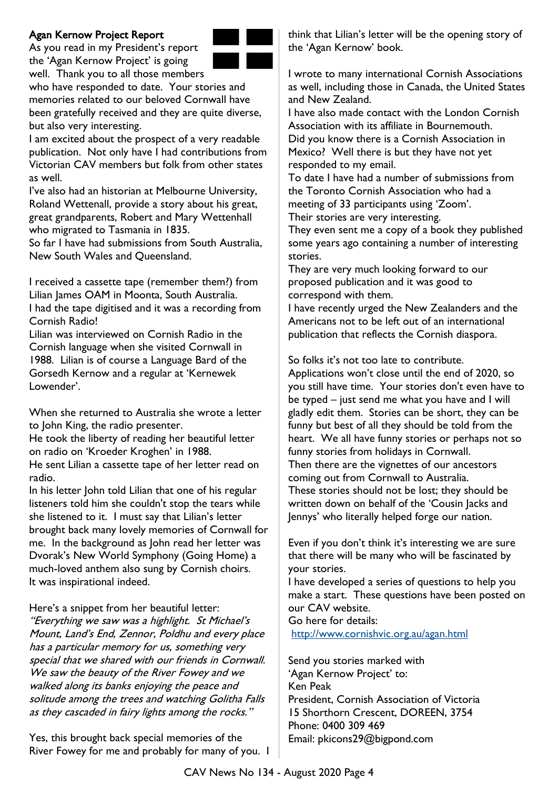## Agan Kernow Project Report

As you read in my President's report the 'Agan Kernow Project' is going well. Thank you to all those members



who have responded to date. Your stories and memories related to our beloved Cornwall have been gratefully received and they are quite diverse, but also very interesting.

I am excited about the prospect of a very readable publication. Not only have I had contributions from Victorian CAV members but folk from other states as well.

I've also had an historian at Melbourne University, Roland Wettenall, provide a story about his great, great grandparents, Robert and Mary Wettenhall who migrated to Tasmania in 1835.

So far I have had submissions from South Australia, New South Wales and Queensland.

I received a cassette tape (remember them?) from Lilian James OAM in Moonta, South Australia. I had the tape digitised and it was a recording from Cornish Radio!

Lilian was interviewed on Cornish Radio in the Cornish language when she visited Cornwall in 1988. Lilian is of course a Language Bard of the Gorsedh Kernow and a regular at 'Kernewek Lowender'.

When she returned to Australia she wrote a letter to John King, the radio presenter.

He took the liberty of reading her beautiful letter on radio on 'Kroeder Kroghen' in 1988.

He sent Lilian a cassette tape of her letter read on radio.

In his letter John told Lilian that one of his regular listeners told him she couldn't stop the tears while she listened to it. I must say that Lilian's letter brought back many lovely memories of Cornwall for me. In the background as John read her letter was Dvorak's New World Symphony (Going Home) a much-loved anthem also sung by Cornish choirs. It was inspirational indeed.

Here's a snippet from her beautiful letter: "Everything we saw was a highlight. St Michael's Mount, Land's End, Zennor, Poldhu and every place has a particular memory for us, something very special that we shared with our friends in Cornwall. We saw the beauty of the River Fowey and we walked along its banks enjoying the peace and solitude among the trees and watching Golitha Falls as they cascaded in fairy lights among the rocks."

Yes, this brought back special memories of the River Fowey for me and probably for many of you. I think that Lilian's letter will be the opening story of the 'Agan Kernow' book.

I wrote to many international Cornish Associations as well, including those in Canada, the United States and New Zealand.

I have also made contact with the London Cornish Association with its affiliate in Bournemouth. Did you know there is a Cornish Association in Mexico? Well there is but they have not yet responded to my email.

To date I have had a number of submissions from the Toronto Cornish Association who had a meeting of 33 participants using 'Zoom'.

Their stories are very interesting.

They even sent me a copy of a book they published some years ago containing a number of interesting stories.

They are very much looking forward to our proposed publication and it was good to correspond with them.

I have recently urged the New Zealanders and the Americans not to be left out of an international publication that reflects the Cornish diaspora.

So folks it's not too late to contribute. Applications won't close until the end of 2020, so

you still have time. Your stories don't even have to be typed – just send me what you have and I will gladly edit them. Stories can be short, they can be funny but best of all they should be told from the heart. We all have funny stories or perhaps not so funny stories from holidays in Cornwall. Then there are the vignettes of our ancestors coming out from Cornwall to Australia. These stories should not be lost; they should be written down on behalf of the 'Cousin Jacks and Jennys' who literally helped forge our nation.

Even if you don't think it's interesting we are sure that there will be many who will be fascinated by your stories.

I have developed a series of questions to help you make a start. These questions have been posted on our CAV website.

Go here for details:

<http://www.cornishvic.org.au/agan.html>

Send you stories marked with 'Agan Kernow Project' to: Ken Peak President, Cornish Association of Victoria 15 Shorthorn Crescent, DOREEN, 3754 Phone: 0400 309 469 Email: pkicons29@bigpond.com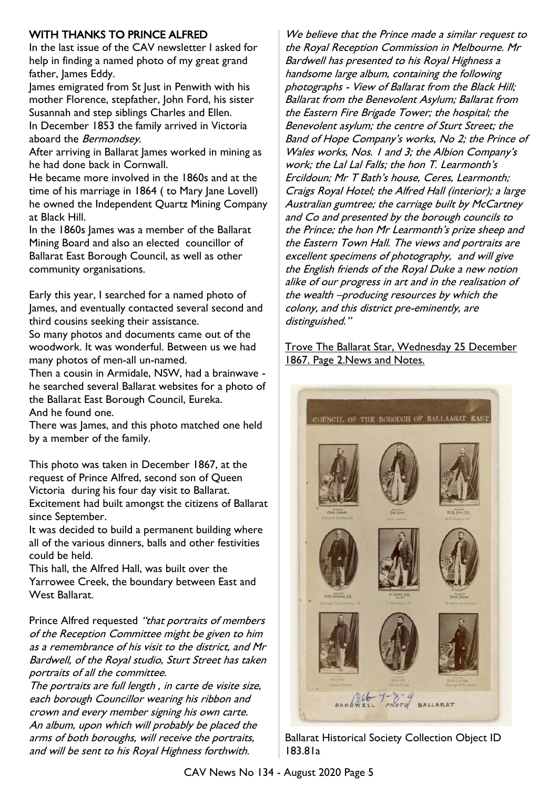# WITH THANKS TO PRINCE ALFRED

In the last issue of the CAV newsletter I asked for help in finding a named photo of my great grand father, James Eddy.

James emigrated from St Just in Penwith with his mother Florence, stepfather, John Ford, his sister Susannah and step siblings Charles and Ellen. In December 1853 the family arrived in Victoria aboard the Bermondsey.

After arriving in Ballarat James worked in mining as he had done back in Cornwall.

He became more involved in the 1860s and at the time of his marriage in 1864 (to Mary Jane Lovell) he owned the Independent Quartz Mining Company at Black Hill.

In the 1860s James was a member of the Ballarat Mining Board and also an elected councillor of Ballarat East Borough Council, as well as other community organisations.

Early this year, I searched for a named photo of James, and eventually contacted several second and third cousins seeking their assistance.

So many photos and documents came out of the woodwork. It was wonderful. Between us we had many photos of men-all un-named.

Then a cousin in Armidale, NSW, had a brainwave he searched several Ballarat websites for a photo of the Ballarat East Borough Council, Eureka. And he found one.

There was James, and this photo matched one held by a member of the family.

This photo was taken in December 1867, at the request of Prince Alfred, second son of Queen Victoria during his four day visit to Ballarat. Excitement had built amongst the citizens of Ballarat since September.

It was decided to build a permanent building where all of the various dinners, balls and other festivities could be held.

This hall, the Alfred Hall, was built over the Yarrowee Creek, the boundary between East and West Ballarat.

Prince Alfred requested "that portraits of members of the Reception Committee might be given to him as a remembrance of his visit to the district, and Mr Bardwell, of the Royal studio, Sturt Street has taken portraits of all the committee.

The portraits are full length , in carte de visite size, each borough Councillor wearing his ribbon and crown and every member signing his own carte. An album, upon which will probably be placed the arms of both boroughs, will receive the portraits, and will be sent to his Royal Highness forthwith.

We believe that the Prince made a similar request to the Royal Reception Commission in Melbourne. Mr Bardwell has presented to his Royal Highness a handsome large album, containing the following photographs - View of Ballarat from the Black Hill; Ballarat from the Benevolent Asylum; Ballarat from the Eastern Fire Brigade Tower; the hospital; the Benevolent asylum; the centre of Sturt Street; the Band of Hope Company's works, No 2; the Prince of Wales works, Nos. 1 and 3; the Albion Company's work; the Lal Lal Falls; the hon T. Learmonth's Ercildoun; Mr T Bath's house, Ceres, Learmonth; Craigs Royal Hotel; the Alfred Hall (interior); a large Australian gumtree; the carriage built by McCartney and Co and presented by the borough councils to the Prince; the hon Mr Learmonth's prize sheep and the Eastern Town Hall. The views and portraits are excellent specimens of photography, and will give the English friends of the Royal Duke a new notion alike of our progress in art and in the realisation of the wealth –producing resources by which the colony, and this district pre-eminently, are distinguished."

Trove The Ballarat Star, Wednesday 25 December 1867. Page 2.News and Notes.



Ballarat Historical Society Collection Object ID 183.81a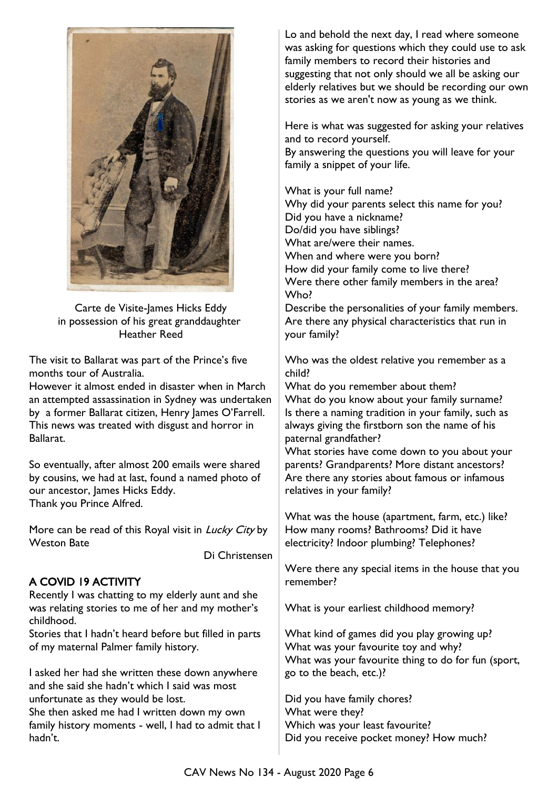

Carte de Visite-James Hicks Eddy in possession of his great granddaughter Heather Reed

The visit to Ballarat was part of the Prince's five months tour of Australia.

However it almost ended in disaster when in March an attempted assassination in Sydney was undertaken by a former Ballarat citizen, Henry James O'Farrell. This news was treated with disgust and horror in Ballarat.

So eventually, after almost 200 emails were shared by cousins, we had at last, found a named photo of our ancestor, James Hicks Eddy. Thank you Prince Alfred.

More can be read of this Royal visit in *Lucky City* by Weston Bate

Di Christensen

# A COVID 19 ACTIVITY

Recently I was chatting to my elderly aunt and she was relating stories to me of her and my mother's childhood.

Stories that I hadn't heard before but filled in parts of my maternal Palmer family history.

I asked her had she written these down anywhere and she said she hadn't which I said was most unfortunate as they would be lost.

She then asked me had I written down my own family history moments - well, I had to admit that I hadn't.

Lo and behold the next day, I read where someone was asking for questions which they could use to ask family members to record their histories and suggesting that not only should we all be asking our elderly relatives but we should be recording our own stories as we aren't now as young as we think.

Here is what was suggested for asking your relatives and to record yourself.

By answering the questions you will leave for your family a snippet of your life.

What is your full name?

Why did your parents select this name for you? Did you have a nickname? Do/did you have siblings? What are/were their names. When and where were you born? How did your family come to live there? Were there other family members in the area? Who? Describe the personalities of your family members.

Are there any physical characteristics that run in your family?

Who was the oldest relative you remember as a child?

What do you remember about them? What do you know about your family surname? Is there a naming tradition in your family, such as always giving the firstborn son the name of his paternal grandfather?

What stories have come down to you about your parents? Grandparents? More distant ancestors? Are there any stories about famous or infamous relatives in your family?

What was the house (apartment, farm, etc.) like? How many rooms? Bathrooms? Did it have electricity? Indoor plumbing? Telephones?

Were there any special items in the house that you remember?

What is your earliest childhood memory?

What kind of games did you play growing up? What was your favourite toy and why? What was your favourite thing to do for fun (sport, go to the beach, etc.)?

Did you have family chores? What were they? Which was your least favourite? Did you receive pocket money? How much?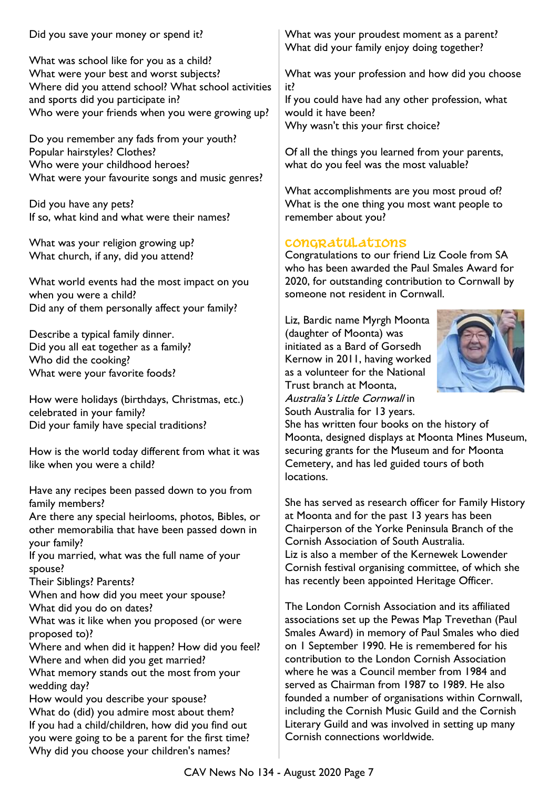Did you save your money or spend it?

What was school like for you as a child? What were your best and worst subjects? Where did you attend school? What school activities and sports did you participate in? Who were your friends when you were growing up?

Do you remember any fads from your youth? Popular hairstyles? Clothes? Who were your childhood heroes? What were your favourite songs and music genres?

Did you have any pets? If so, what kind and what were their names?

What was your religion growing up? What church, if any, did you attend?

What world events had the most impact on you when you were a child? Did any of them personally affect your family?

Describe a typical family dinner. Did you all eat together as a family? Who did the cooking? What were your favorite foods?

How were holidays (birthdays, Christmas, etc.) celebrated in your family? Did your family have special traditions?

How is the world today different from what it was like when you were a child?

Have any recipes been passed down to you from family members?

Are there any special heirlooms, photos, Bibles, or other memorabilia that have been passed down in your family?

If you married, what was the full name of your spouse?

Their Siblings? Parents?

When and how did you meet your spouse? What did you do on dates?

What was it like when you proposed (or were proposed to)?

Where and when did it happen? How did you feel? Where and when did you get married?

What memory stands out the most from your wedding day?

How would you describe your spouse? What do (did) you admire most about them? If you had a child/children, how did you find out you were going to be a parent for the first time? Why did you choose your children's names?

What was your proudest moment as a parent? What did your family enjoy doing together?

What was your profession and how did you choose it?

If you could have had any other profession, what would it have been?

Why wasn't this your first choice?

Of all the things you learned from your parents, what do you feel was the most valuable?

What accomplishments are you most proud of? What is the one thing you most want people to remember about you?

# **CONGRATULATIONS**

Congratulations to our friend Liz Coole from SA who has been awarded the Paul Smales Award for 2020, for outstanding contribution to Cornwall by someone not resident in Cornwall.

Liz, Bardic name Myrgh Moonta (daughter of Moonta) was initiated as a Bard of Gorsedh Kernow in 2011, having worked as a volunteer for the National Trust branch at Moonta, Australia's Little Cornwall in South Australia for 13 years.



She has written four books on the history of Moonta, designed displays at Moonta Mines Museum, securing grants for the Museum and for Moonta Cemetery, and has led guided tours of both locations.

She has served as research officer for Family History at Moonta and for the past 13 years has been Chairperson of the Yorke Peninsula Branch of the Cornish Association of South Australia. Liz is also a member of the Kernewek Lowender Cornish festival organising committee, of which she has recently been appointed Heritage Officer.

The London Cornish Association and its affiliated associations set up the Pewas Map Trevethan (Paul Smales Award) in memory of Paul Smales who died on 1 September 1990. He is remembered for his contribution to the London Cornish Association where he was a Council member from 1984 and served as Chairman from 1987 to 1989. He also founded a number of organisations within Cornwall, including the Cornish Music Guild and the Cornish Literary Guild and was involved in setting up many Cornish connections worldwide.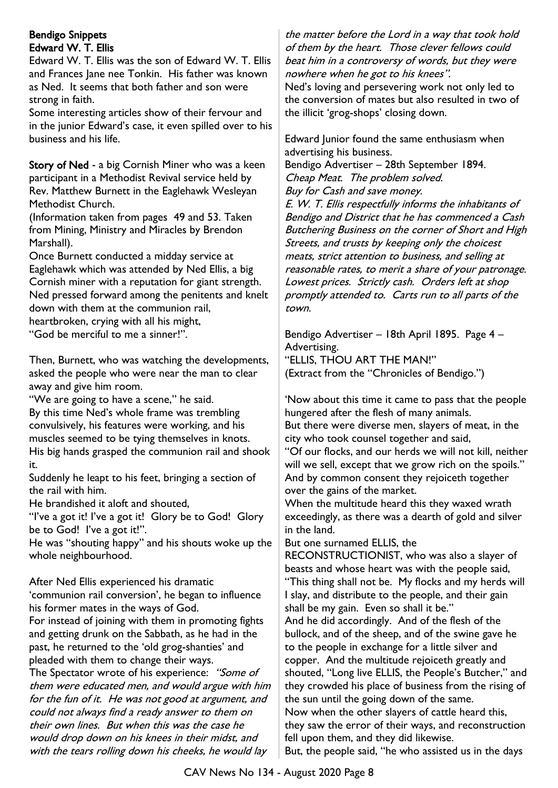### Bendigo Snippets Edward W. T. Ellis

Edward W. T. Ellis was the son of Edward W. T. Ellis and Frances Jane nee Tonkin. His father was known as Ned. It seems that both father and son were strong in faith.

Some interesting articles show of their fervour and in the junior Edward's case, it even spilled over to his business and his life.

Story of Ned - a big Cornish Miner who was a keen participant in a Methodist Revival service held by Rev. Matthew Burnett in the Eaglehawk Wesleyan Methodist Church.

(Information taken from pages 49 and 53. Taken from Mining, Ministry and Miracles by Brendon Marshall).

Once Burnett conducted a midday service at Eaglehawk which was attended by Ned Ellis, a big Cornish miner with a reputation for giant strength. Ned pressed forward among the penitents and knelt down with them at the communion rail, heartbroken, crying with all his might,

"God be merciful to me a sinner!".

Then, Burnett, who was watching the developments, asked the people who were near the man to clear away and give him room.

"We are going to have a scene," he said.

By this time Ned's whole frame was trembling convulsively, his features were working, and his muscles seemed to be tying themselves in knots. His big hands grasped the communion rail and shook it.

Suddenly he leapt to his feet, bringing a section of the rail with him.

He brandished it aloft and shouted,

"I've a got it! I've a got it! Glory be to God! Glory be to God! I've a got it!".

He was "shouting happy" and his shouts woke up the whole neighbourhood.

After Ned Ellis experienced his dramatic 'communion rail conversion', he began to influence his former mates in the ways of God.

For instead of joining with them in promoting fights and getting drunk on the Sabbath, as he had in the past, he returned to the 'old grog-shanties' and pleaded with them to change their ways.

The Spectator wrote of his experience: "Some of them were educated men, and would argue with him for the fun of it. He was not good at argument, and could not always find a ready answer to them on their own lines. But when this was the case he would drop down on his knees in their midst, and with the tears rolling down his cheeks, he would lay

the matter before the Lord in a way that took hold of them by the heart. Those clever fellows could beat him in a controversy of words, but they were nowhere when he got to his knees".

Ned's loving and persevering work not only led to the conversion of mates but also resulted in two of the illicit 'grog-shops' closing down.

Edward Junior found the same enthusiasm when advertising his business.

Bendigo Advertiser – 28th September 1894. Cheap Meat. The problem solved. Buy for Cash and save money.

E. W. T. Ellis respectfully informs the inhabitants of Bendigo and District that he has commenced a Cash Butchering Business on the corner of Short and High Streets, and trusts by keeping only the choicest meats, strict attention to business, and selling at reasonable rates, to merit a share of your patronage. Lowest prices. Strictly cash. Orders left at shop promptly attended to. Carts run to all parts of the town.

Bendigo Advertiser – 18th April 1895. Page 4 – Advertising. "ELLIS, THOU ART THE MAN!" (Extract from the "Chronicles of Bendigo.")

'Now about this time it came to pass that the people hungered after the flesh of many animals. But there were diverse men, slayers of meat, in the city who took counsel together and said, "Of our flocks, and our herds we will not kill, neither will we sell, except that we grow rich on the spoils." And by common consent they rejoiceth together over the gains of the market.

When the multitude heard this they waxed wrath exceedingly, as there was a dearth of gold and silver in the land.

But one surnamed ELLIS, the

RECONSTRUCTIONIST, who was also a slayer of beasts and whose heart was with the people said, "This thing shall not be. My flocks and my herds will I slay, and distribute to the people, and their gain shall be my gain. Even so shall it be."

And he did accordingly. And of the flesh of the bullock, and of the sheep, and of the swine gave he to the people in exchange for a little silver and copper. And the multitude rejoiceth greatly and shouted, "Long live ELLIS, the People's Butcher," and they crowded his place of business from the rising of the sun until the going down of the same. Now when the other slayers of cattle heard this, they saw the error of their ways, and reconstruction

fell upon them, and they did likewise. But, the people said, "he who assisted us in the days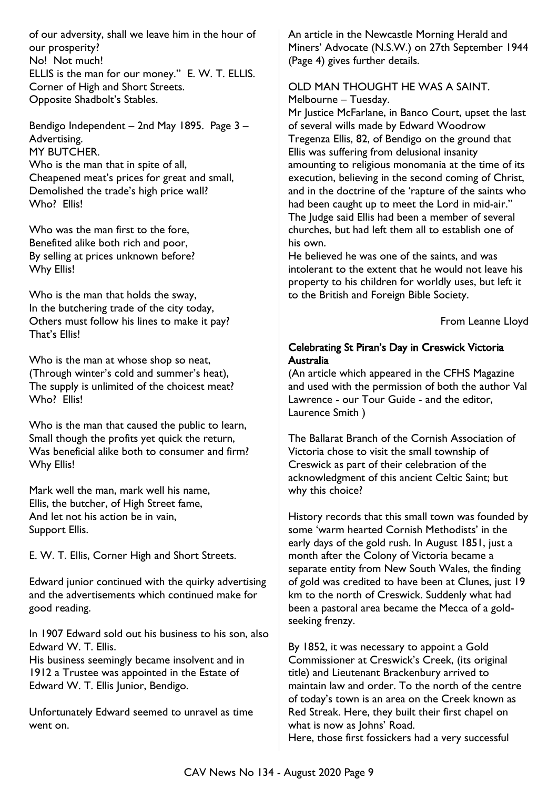of our adversity, shall we leave him in the hour of our prosperity? No! Not much! ELLIS is the man for our money." E. W. T. ELLIS. Corner of High and Short Streets. Opposite Shadbolt's Stables.

Bendigo Independent – 2nd May 1895. Page 3 – Advertising. MY BUTCHER. Who is the man that in spite of all. Cheapened meat's prices for great and small, Demolished the trade's high price wall? Who? Fllis!

Who was the man first to the fore, Benefited alike both rich and poor, By selling at prices unknown before? Why Ellis!

Who is the man that holds the sway, In the butchering trade of the city today, Others must follow his lines to make it pay? That's Ellis!

Who is the man at whose shop so neat, (Through winter's cold and summer's heat), The supply is unlimited of the choicest meat? Who? Filis!

Who is the man that caused the public to learn, Small though the profits yet quick the return, Was beneficial alike both to consumer and firm? Why Ellis!

Mark well the man, mark well his name, Ellis, the butcher, of High Street fame, And let not his action be in vain, Support Ellis.

E. W. T. Ellis, Corner High and Short Streets.

Edward junior continued with the quirky advertising and the advertisements which continued make for good reading.

In 1907 Edward sold out his business to his son, also Edward W. T. Ellis.

His business seemingly became insolvent and in 1912 a Trustee was appointed in the Estate of Edward W. T. Ellis Junior, Bendigo.

Unfortunately Edward seemed to unravel as time went on.

An article in the Newcastle Morning Herald and Miners' Advocate (N.S.W.) on 27th September 1944 (Page 4) gives further details.

#### OLD MAN THOUGHT HE WAS A SAINT. Melbourne – Tuesday.

Mr Justice McFarlane, in Banco Court, upset the last of several wills made by Edward Woodrow Tregenza Ellis, 82, of Bendigo on the ground that Ellis was suffering from delusional insanity amounting to religious monomania at the time of its execution, believing in the second coming of Christ, and in the doctrine of the 'rapture of the saints who had been caught up to meet the Lord in mid-air." The Judge said Ellis had been a member of several churches, but had left them all to establish one of his own.

He believed he was one of the saints, and was intolerant to the extent that he would not leave his property to his children for worldly uses, but left it to the British and Foreign Bible Society.

From Leanne Lloyd

### Celebrating St Piran's Day in Creswick Victoria Australia

(An article which appeared in the CFHS Magazine and used with the permission of both the author Val Lawrence - our Tour Guide - and the editor, Laurence Smith )

The Ballarat Branch of the Cornish Association of Victoria chose to visit the small township of Creswick as part of their celebration of the acknowledgment of this ancient Celtic Saint; but why this choice?

History records that this small town was founded by some 'warm hearted Cornish Methodists' in the early days of the gold rush. In August 1851, just a month after the Colony of Victoria became a separate entity from New South Wales, the finding of gold was credited to have been at Clunes, just 19 km to the north of Creswick. Suddenly what had been a pastoral area became the Mecca of a goldseeking frenzy.

By 1852, it was necessary to appoint a Gold Commissioner at Creswick's Creek, (its original title) and Lieutenant Brackenbury arrived to maintain law and order. To the north of the centre of today's town is an area on the Creek known as Red Streak. Here, they built their first chapel on what is now as Johns' Road. Here, those first fossickers had a very successful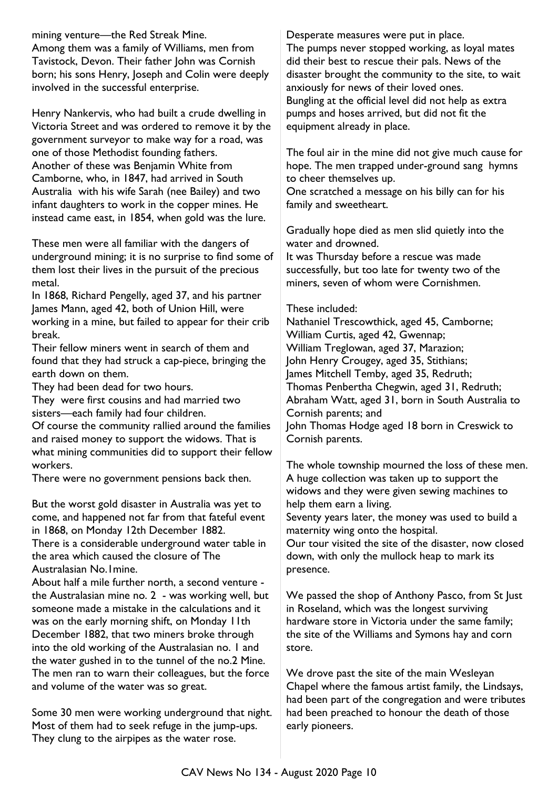mining venture—the Red Streak Mine. Among them was a family of Williams, men from Tavistock, Devon. Their father John was Cornish born; his sons Henry, Joseph and Colin were deeply involved in the successful enterprise.

Henry Nankervis, who had built a crude dwelling in Victoria Street and was ordered to remove it by the government surveyor to make way for a road, was one of those Methodist founding fathers. Another of these was Benjamin White from Camborne, who, in 1847, had arrived in South Australia with his wife Sarah (nee Bailey) and two infant daughters to work in the copper mines. He instead came east, in 1854, when gold was the lure.

These men were all familiar with the dangers of underground mining; it is no surprise to find some of them lost their lives in the pursuit of the precious metal.

In 1868, Richard Pengelly, aged 37, and his partner James Mann, aged 42, both of Union Hill, were working in a mine, but failed to appear for their crib break.

Their fellow miners went in search of them and found that they had struck a cap-piece, bringing the earth down on them.

They had been dead for two hours.

They were first cousins and had married two sisters—each family had four children.

Of course the community rallied around the families and raised money to support the widows. That is what mining communities did to support their fellow workers.

There were no government pensions back then.

But the worst gold disaster in Australia was yet to come, and happened not far from that fateful event in 1868, on Monday 12th December 1882.

There is a considerable underground water table in the area which caused the closure of The Australasian No.1mine.

About half a mile further north, a second venture the Australasian mine no. 2 - was working well, but someone made a mistake in the calculations and it was on the early morning shift, on Monday 11th December 1882, that two miners broke through into the old working of the Australasian no. 1 and the water gushed in to the tunnel of the no.2 Mine. The men ran to warn their colleagues, but the force and volume of the water was so great.

Some 30 men were working underground that night. Most of them had to seek refuge in the jump-ups. They clung to the airpipes as the water rose.

Desperate measures were put in place. The pumps never stopped working, as loyal mates did their best to rescue their pals. News of the disaster brought the community to the site, to wait anxiously for news of their loved ones. Bungling at the official level did not help as extra pumps and hoses arrived, but did not fit the equipment already in place.

The foul air in the mine did not give much cause for hope. The men trapped under-ground sang hymns to cheer themselves up.

One scratched a message on his billy can for his family and sweetheart.

Gradually hope died as men slid quietly into the water and drowned.

It was Thursday before a rescue was made successfully, but too late for twenty two of the miners, seven of whom were Cornishmen.

#### These included:

Nathaniel Trescowthick, aged 45, Camborne; William Curtis, aged 42, Gwennap; William Treglowan, aged 37, Marazion; John Henry Crougey, aged 35, Stithians; James Mitchell Temby, aged 35, Redruth; Thomas Penbertha Chegwin, aged 31, Redruth; Abraham Watt, aged 31, born in South Australia to Cornish parents; and John Thomas Hodge aged 18 born in Creswick to Cornish parents.

The whole township mourned the loss of these men. A huge collection was taken up to support the widows and they were given sewing machines to help them earn a living.

Seventy years later, the money was used to build a maternity wing onto the hospital.

Our tour visited the site of the disaster, now closed down, with only the mullock heap to mark its presence.

We passed the shop of Anthony Pasco, from St Just in Roseland, which was the longest surviving hardware store in Victoria under the same family; the site of the Williams and Symons hay and corn store.

We drove past the site of the main Wesleyan Chapel where the famous artist family, the Lindsays, had been part of the congregation and were tributes had been preached to honour the death of those early pioneers.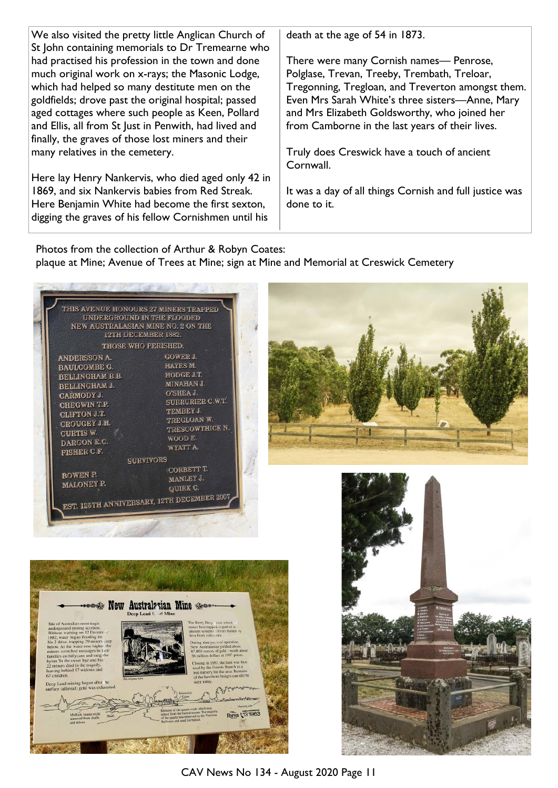| We also visited the pretty little Anglican Church of<br>St John containing memorials to Dr Tremearne who | death at the age of 54 in 1873.                         |
|----------------------------------------------------------------------------------------------------------|---------------------------------------------------------|
| had practised his profession in the town and done                                                        | There were many Cornish names— Penrose,                 |
| much original work on x-rays; the Masonic Lodge,                                                         | Polglase, Trevan, Treeby, Trembath, Treloar,            |
| which had helped so many destitute men on the                                                            | Tregonning, Tregloan, and Treverton amongst them.       |
| goldfields; drove past the original hospital; passed                                                     | Even Mrs Sarah White's three sisters-Anne, Mary         |
| aged cottages where such people as Keen, Pollard                                                         | and Mrs Elizabeth Goldsworthy, who joined her           |
| and Ellis, all from St Just in Penwith, had lived and                                                    | from Camborne in the last years of their lives.         |
| finally, the graves of those lost miners and their                                                       |                                                         |
| many relatives in the cemetery.                                                                          | Truly does Creswick have a touch of ancient             |
|                                                                                                          | Cornwall.                                               |
| Here lay Henry Nankervis, who died aged only 42 in                                                       |                                                         |
| 1869, and six Nankervis babies from Red Streak.                                                          | It was a day of all things Cornish and full justice was |
| Here Benjamin White had become the first sexton,                                                         | done to it.                                             |
| digging the graves of his fellow Cornishmen until his                                                    |                                                         |
|                                                                                                          |                                                         |

Photos from the collection of Arthur & Robyn Coates: plaque at Mine; Avenue of Trees at Mine; sign at Mine and Memorial at Creswick Cemetery





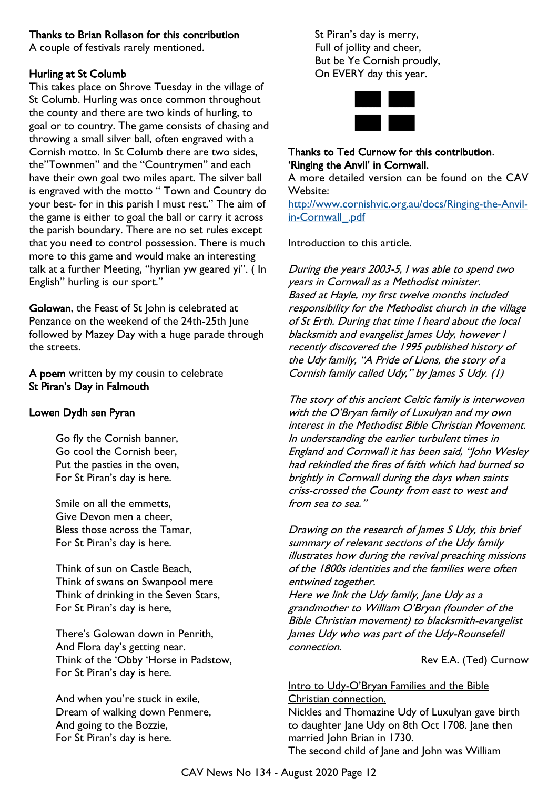### Thanks to Brian Rollason for this contribution

A couple of festivals rarely mentioned.

### Hurling at St Columb

This takes place on Shrove Tuesday in the village of St Columb. Hurling was once common throughout the county and there are two kinds of hurling, to goal or to country. The game consists of chasing and throwing a small silver ball, often engraved with a Cornish motto. In St Columb there are two sides, the"Townmen" and the "Countrymen" and each have their own goal two miles apart. The silver ball is engraved with the motto " Town and Country do your best- for in this parish I must rest." The aim of the game is either to goal the ball or carry it across the parish boundary. There are no set rules except that you need to control possession. There is much more to this game and would make an interesting talk at a further Meeting, "hyrlian yw geared yi". ( In English" hurling is our sport."

Golowan, the Feast of St John is celebrated at Penzance on the weekend of the 24th-25th June followed by Mazey Day with a huge parade through the streets.

A poem written by my cousin to celebrate St Piran's Day in Falmouth

### Lowen Dydh sen Pyran

Go fly the Cornish banner, Go cool the Cornish beer, Put the pasties in the oven, For St Piran's day is here.

Smile on all the emmetts, Give Devon men a cheer, Bless those across the Tamar, For St Piran's day is here.

Think of sun on Castle Beach, Think of swans on Swanpool mere Think of drinking in the Seven Stars, For St Piran's day is here,

There's Golowan down in Penrith, And Flora day's getting near. Think of the 'Obby 'Horse in Padstow, For St Piran's day is here.

And when you're stuck in exile, Dream of walking down Penmere, And going to the Bozzie, For St Piran's day is here.

St Piran's day is merry, Full of jollity and cheer, But be Ye Cornish proudly, On EVERY day this year.



### Thanks to Ted Curnow for this contribution. 'Ringing the Anvil' in Cornwall.

A more detailed version can be found on the CAV Website:

[http://www.cornishvic.org.au/docs/Ringing-the-Anvil](http://www.cornishvic.org.au/docs/Ringing-the-Anvil-in-Cornwall_.pdf)in-Cornwall .pdf

Introduction to this article.

During the years 2003-5, I was able to spend two years in Cornwall as a Methodist minister. Based at Hayle, my first twelve months included responsibility for the Methodist church in the village of St Erth. During that time I heard about the local blacksmith and evangelist James Udy, however I recently discovered the 1995 published history of the Udy family, "A Pride of Lions, the story of a Cornish family called Udy," by James S Udy. (1)

The story of this ancient Celtic family is interwoven with the O'Bryan family of Luxulyan and my own interest in the Methodist Bible Christian Movement. In understanding the earlier turbulent times in England and Cornwall it has been said, "John Wesley had rekindled the fires of faith which had burned so brightly in Cornwall during the days when saints criss-crossed the County from east to west and from sea to sea."

Drawing on the research of James S Udy, this brief summary of relevant sections of the Udy family illustrates how during the revival preaching missions of the 1800s identities and the families were often entwined together.

Here we link the Udy family, Jane Udy as a grandmother to William O'Bryan (founder of the Bible Christian movement) to blacksmith-evangelist James Udy who was part of the Udy-Rounsefell connection.

Rev E.A. (Ted) Curnow

#### Intro to Udy-O'Bryan Families and the Bible Christian connection.

Nickles and Thomazine Udy of Luxulyan gave birth to daughter Jane Udy on 8th Oct 1708. Jane then married John Brian in 1730. The second child of Jane and John was William

CAV News No 134 - August 2020 Page 12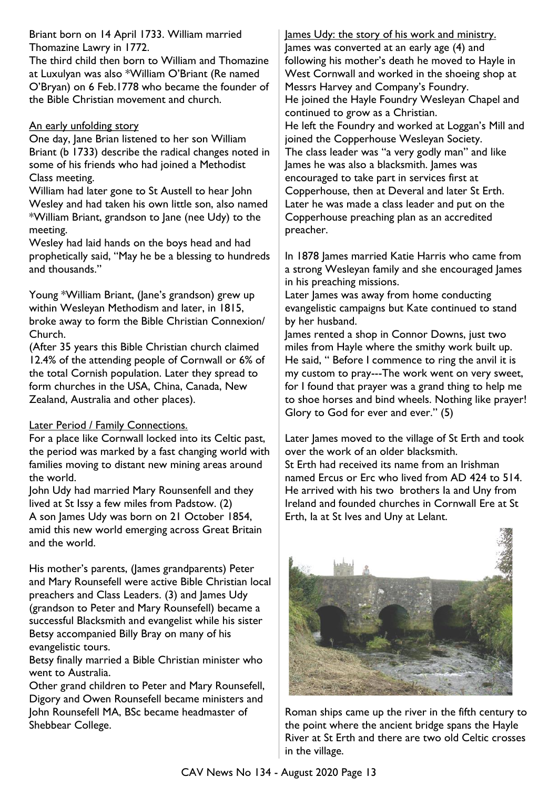Briant born on 14 April 1733. William married Thomazine Lawry in 1772.

The third child then born to William and Thomazine at Luxulyan was also \*William O'Briant (Re named O'Bryan) on 6 Feb.1778 who became the founder of the Bible Christian movement and church.

### An early unfolding story

One day, Jane Brian listened to her son William Briant (b 1733) describe the radical changes noted in some of his friends who had joined a Methodist Class meeting.

William had later gone to St Austell to hear John Wesley and had taken his own little son, also named \*William Briant, grandson to Jane (nee Udy) to the meeting.

Wesley had laid hands on the boys head and had prophetically said, "May he be a blessing to hundreds and thousands."

Young \*William Briant, (Jane's grandson) grew up within Wesleyan Methodism and later, in 1815, broke away to form the Bible Christian Connexion/ Church.

(After 35 years this Bible Christian church claimed 12.4% of the attending people of Cornwall or 6% of the total Cornish population. Later they spread to form churches in the USA, China, Canada, New Zealand, Australia and other places).

#### Later Period / Family Connections.

For a place like Cornwall locked into its Celtic past, the period was marked by a fast changing world with families moving to distant new mining areas around the world.

John Udy had married Mary Rounsenfell and they lived at St Issy a few miles from Padstow. (2) A son James Udy was born on 21 October 1854, amid this new world emerging across Great Britain and the world.

His mother's parents, (James grandparents) Peter and Mary Rounsefell were active Bible Christian local preachers and Class Leaders. (3) and James Udy (grandson to Peter and Mary Rounsefell) became a successful Blacksmith and evangelist while his sister Betsy accompanied Billy Bray on many of his evangelistic tours.

Betsy finally married a Bible Christian minister who went to Australia.

Other grand children to Peter and Mary Rounsefell, Digory and Owen Rounsefell became ministers and John Rounsefell MA, BSc became headmaster of Shebbear College.

James Udy: the story of his work and ministry. James was converted at an early age (4) and following his mother's death he moved to Hayle in West Cornwall and worked in the shoeing shop at Messrs Harvey and Company's Foundry. He joined the Hayle Foundry Wesleyan Chapel and continued to grow as a Christian. He left the Foundry and worked at Loggan's Mill and joined the Copperhouse Wesleyan Society. The class leader was "a very godly man" and like James he was also a blacksmith. James was encouraged to take part in services first at Copperhouse, then at Deveral and later St Erth. Later he was made a class leader and put on the Copperhouse preaching plan as an accredited preacher.

In 1878 James married Katie Harris who came from a strong Wesleyan family and she encouraged James in his preaching missions.

Later James was away from home conducting evangelistic campaigns but Kate continued to stand by her husband.

James rented a shop in Connor Downs, just two miles from Hayle where the smithy work built up. He said, " Before I commence to ring the anvil it is my custom to pray---The work went on very sweet, for I found that prayer was a grand thing to help me to shoe horses and bind wheels. Nothing like prayer! Glory to God for ever and ever." (5)

Later James moved to the village of St Erth and took over the work of an older blacksmith. St Erth had received its name from an Irishman

named Ercus or Erc who lived from AD 424 to 514. He arrived with his two brothers Ia and Uny from Ireland and founded churches in Cornwall Ere at St Erth, Ia at St Ives and Uny at Lelant.



Roman ships came up the river in the fifth century to the point where the ancient bridge spans the Hayle River at St Erth and there are two old Celtic crosses in the village.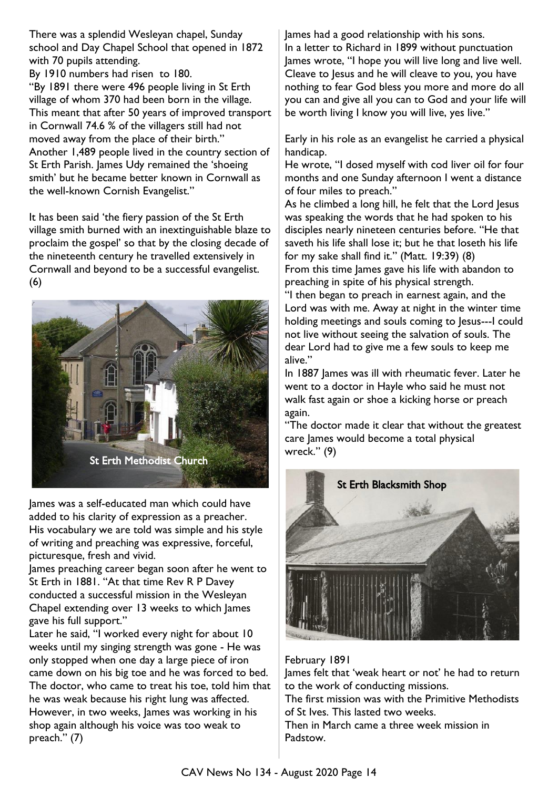There was a splendid Wesleyan chapel, Sunday school and Day Chapel School that opened in 1872 with 70 pupils attending.

By 1910 numbers had risen to 180.

"By 1891 there were 496 people living in St Erth village of whom 370 had been born in the village. This meant that after 50 years of improved transport in Cornwall 74.6 % of the villagers still had not moved away from the place of their birth." Another 1,489 people lived in the country section of St Erth Parish. James Udy remained the 'shoeing' smith' but he became better known in Cornwall as the well-known Cornish Evangelist."

It has been said 'the fiery passion of the St Erth village smith burned with an inextinguishable blaze to proclaim the gospel' so that by the closing decade of the nineteenth century he travelled extensively in Cornwall and beyond to be a successful evangelist. (6)



James was a self-educated man which could have added to his clarity of expression as a preacher. His vocabulary we are told was simple and his style of writing and preaching was expressive, forceful, picturesque, fresh and vivid.

James preaching career began soon after he went to St Erth in 1881. "At that time Rev R P Davey conducted a successful mission in the Wesleyan Chapel extending over 13 weeks to which James gave his full support."

Later he said, "I worked every night for about 10 weeks until my singing strength was gone - He was only stopped when one day a large piece of iron came down on his big toe and he was forced to bed. The doctor, who came to treat his toe, told him that he was weak because his right lung was affected. However, in two weeks, James was working in his shop again although his voice was too weak to preach." (7)

James had a good relationship with his sons. In a letter to Richard in 1899 without punctuation James wrote, "I hope you will live long and live well. Cleave to Jesus and he will cleave to you, you have nothing to fear God bless you more and more do all you can and give all you can to God and your life will be worth living I know you will live, yes live."

Early in his role as an evangelist he carried a physical handicap.

He wrote, "I dosed myself with cod liver oil for four months and one Sunday afternoon I went a distance of four miles to preach."

As he climbed a long hill, he felt that the Lord Jesus was speaking the words that he had spoken to his disciples nearly nineteen centuries before. "He that saveth his life shall lose it; but he that loseth his life for my sake shall find it." (Matt. 19:39) (8) From this time James gave his life with abandon to

preaching in spite of his physical strength. "I then began to preach in earnest again, and the Lord was with me. Away at night in the winter time holding meetings and souls coming to Jesus---I could not live without seeing the salvation of souls. The dear Lord had to give me a few souls to keep me alive."

In 1887 James was ill with rheumatic fever. Later he went to a doctor in Hayle who said he must not walk fast again or shoe a kicking horse or preach again.

"The doctor made it clear that without the greatest care James would become a total physical wreck." (9)



#### February 1891

James felt that 'weak heart or not' he had to return to the work of conducting missions.

The first mission was with the Primitive Methodists of St Ives. This lasted two weeks.

Then in March came a three week mission in Padstow.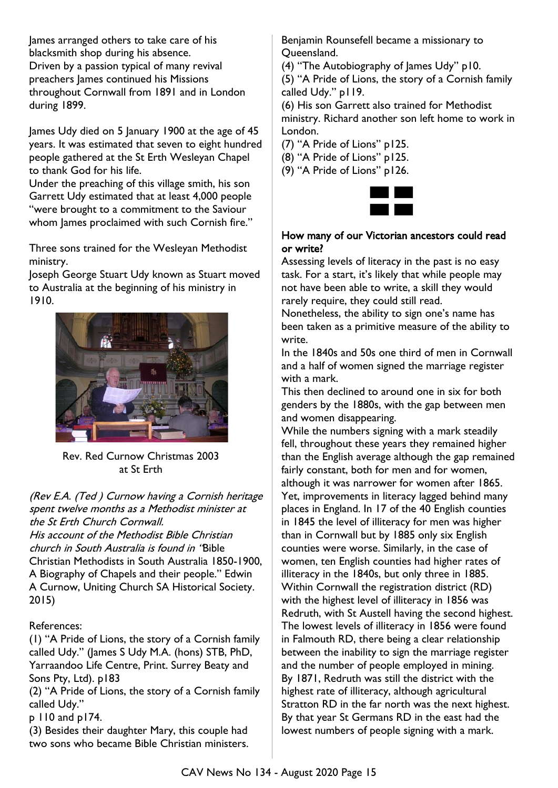James arranged others to take care of his blacksmith shop during his absence. Driven by a passion typical of many revival preachers James continued his Missions throughout Cornwall from 1891 and in London during 1899.

James Udy died on 5 January 1900 at the age of 45 years. It was estimated that seven to eight hundred people gathered at the St Erth Wesleyan Chapel to thank God for his life.

Under the preaching of this village smith, his son Garrett Udy estimated that at least 4,000 people "were brought to a commitment to the Saviour whom James proclaimed with such Cornish fire."

Three sons trained for the Wesleyan Methodist ministry.

Joseph George Stuart Udy known as Stuart moved to Australia at the beginning of his ministry in 1910.



Rev. Red Curnow Christmas 2003 at St Erth

(Rev E.A. (Ted ) Curnow having a Cornish heritage spent twelve months as a Methodist minister at the St Erth Church Cornwall. His account of the Methodist Bible Christian church in South Australia is found in "Bible Christian Methodists in South Australia 1850-1900, A Biography of Chapels and their people." Edwin A Curnow, Uniting Church SA Historical Society. 2015)

### References:

(1) "A Pride of Lions, the story of a Cornish family called Udy." (James S Udy M.A. (hons) STB, PhD, Yarraandoo Life Centre, Print. Surrey Beaty and Sons Pty, Ltd). p183

(2) "A Pride of Lions, the story of a Cornish family called Udy."

p 110 and p174.

(3) Besides their daughter Mary, this couple had two sons who became Bible Christian ministers. Benjamin Rounsefell became a missionary to Queensland.

(4) "The Autobiography of James Udy" p10.

(5) "A Pride of Lions, the story of a Cornish family called Udy." p119.

(6) His son Garrett also trained for Methodist ministry. Richard another son left home to work in London.

(7) "A Pride of Lions" p125.

(8) "A Pride of Lions" p125.

(9) "A Pride of Lions" p126.



#### How many of our Victorian ancestors could read or write?

Assessing levels of literacy in the past is no easy task. For a start, it's likely that while people may not have been able to write, a skill they would rarely require, they could still read.

Nonetheless, the ability to sign one's name has been taken as a primitive measure of the ability to write.

In the 1840s and 50s one third of men in Cornwall and a half of women signed the marriage register with a mark.

This then declined to around one in six for both genders by the 1880s, with the gap between men and women disappearing.

While the numbers signing with a mark steadily fell, throughout these years they remained higher than the English average although the gap remained fairly constant, both for men and for women, although it was narrower for women after 1865. Yet, improvements in literacy lagged behind many places in England. In 17 of the 40 English counties in 1845 the level of illiteracy for men was higher than in Cornwall but by 1885 only six English counties were worse. Similarly, in the case of women, ten English counties had higher rates of illiteracy in the 1840s, but only three in 1885. Within Cornwall the registration district (RD) with the highest level of illiteracy in 1856 was Redruth, with St Austell having the second highest. The lowest levels of illiteracy in 1856 were found in Falmouth RD, there being a clear relationship between the inability to sign the marriage register and the number of people employed in mining. By 1871, Redruth was still the district with the highest rate of illiteracy, although agricultural Stratton RD in the far north was the next highest. By that year St Germans RD in the east had the lowest numbers of people signing with a mark.